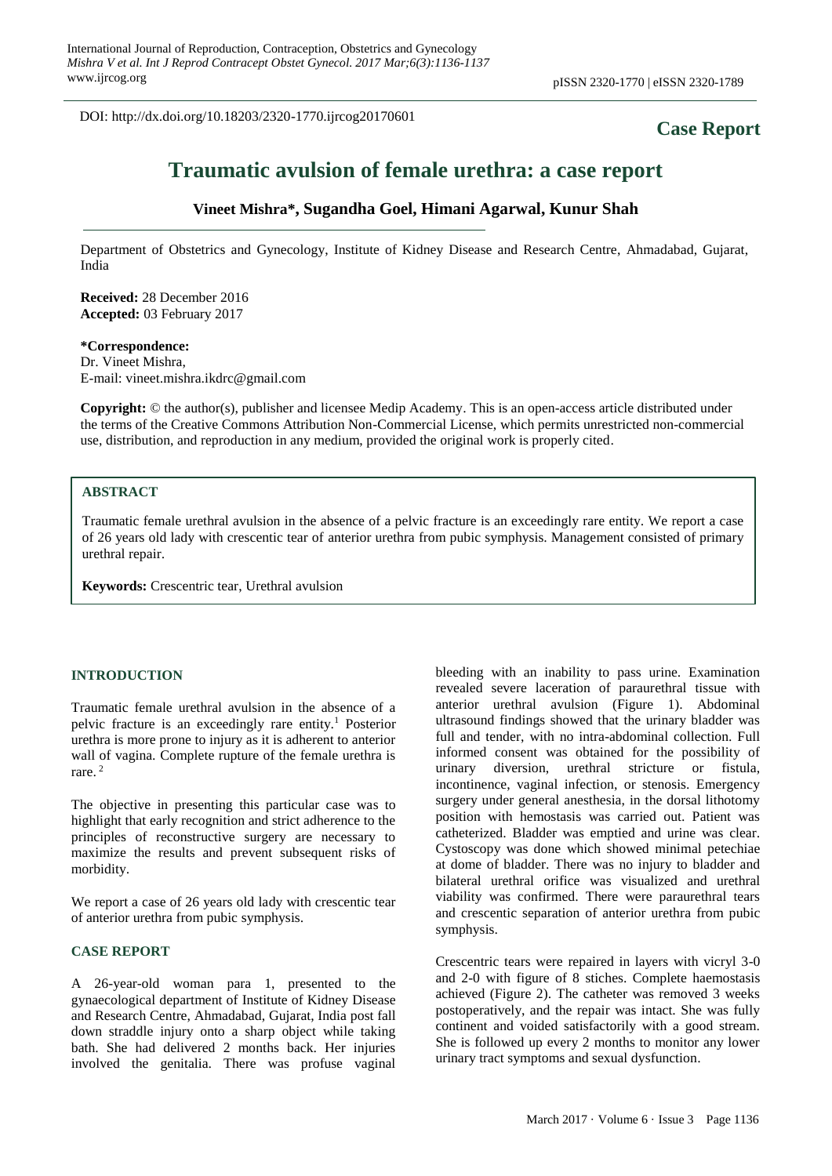DOI: http://dx.doi.org/10.18203/2320-1770.ijrcog20170601

# **Case Report**

# **Traumatic avulsion of female urethra: a case report**

# **Vineet Mishra\*, Sugandha Goel, Himani Agarwal, Kunur Shah**

Department of Obstetrics and Gynecology, Institute of Kidney Disease and Research Centre, Ahmadabad, Gujarat, India

**Received:** 28 December 2016 **Accepted:** 03 February 2017

#### **\*Correspondence:**

Dr. Vineet Mishra, E-mail: vineet.mishra.ikdrc@gmail.com

**Copyright:** © the author(s), publisher and licensee Medip Academy. This is an open-access article distributed under the terms of the Creative Commons Attribution Non-Commercial License, which permits unrestricted non-commercial use, distribution, and reproduction in any medium, provided the original work is properly cited.

# **ABSTRACT**

Traumatic female urethral avulsion in the absence of a pelvic fracture is an exceedingly rare entity. We report a case of 26 years old lady with crescentic tear of anterior urethra from pubic symphysis. Management consisted of primary urethral repair.

**Keywords:** Crescentric tear, Urethral avulsion

#### **INTRODUCTION**

Traumatic female urethral avulsion in the absence of a pelvic fracture is an exceedingly rare entity.<sup>1</sup> Posterior urethra is more prone to injury as it is adherent to anterior wall of vagina. Complete rupture of the female urethra is rare. <sup>2</sup>

The objective in presenting this particular case was to highlight that early recognition and strict adherence to the principles of reconstructive surgery are necessary to maximize the results and prevent subsequent risks of morbidity.

We report a case of 26 years old lady with crescentic tear of anterior urethra from pubic symphysis.

#### **CASE REPORT**

A 26-year-old woman para 1, presented to the gynaecological department of Institute of Kidney Disease and Research Centre, Ahmadabad, Gujarat, India post fall down straddle injury onto a sharp object while taking bath. She had delivered 2 months back. Her injuries involved the genitalia. There was profuse vaginal bleeding with an inability to pass urine. Examination revealed severe laceration of paraurethral tissue with anterior urethral avulsion (Figure 1). Abdominal ultrasound findings showed that the urinary bladder was full and tender, with no intra-abdominal collection. Full informed consent was obtained for the possibility of urinary diversion, urethral stricture or fistula, incontinence, vaginal infection, or stenosis. Emergency surgery under general anesthesia, in the dorsal lithotomy position with hemostasis was carried out. Patient was catheterized. Bladder was emptied and urine was clear. Cystoscopy was done which showed minimal petechiae at dome of bladder. There was no injury to bladder and bilateral urethral orifice was visualized and urethral viability was confirmed. There were paraurethral tears and crescentic separation of anterior urethra from pubic symphysis.

Crescentric tears were repaired in layers with vicryl 3-0 and 2-0 with figure of 8 stiches. Complete haemostasis achieved (Figure 2). The catheter was removed 3 weeks postoperatively, and the repair was intact. She was fully continent and voided satisfactorily with a good stream. She is followed up every 2 months to monitor any lower urinary tract symptoms and sexual dysfunction.